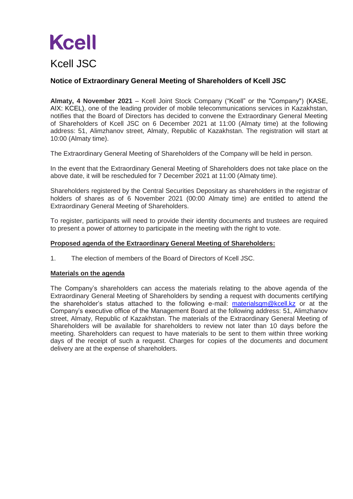# **Kcell**

## Kcell JSC

### **Notice of Extraordinary General Meeting of Shareholders of Kcell JSC**

**Almaty, 4 November 2021** – Kcell Joint Stock Company ("Kcell" or the "Company") (KASE, AIX: KCEL), one of the leading provider of mobile telecommunications services in Kazakhstan, notifies that the Board of Directors has decided to convene the Extraordinary General Meeting of Shareholders of Kcell JSC on 6 December 2021 at 11:00 (Almaty time) at the following address: 51, Alimzhanov street, Almaty, Republic of Kazakhstan. The registration will start at 10:00 (Almaty time).

The Extraordinary General Meeting of Shareholders of the Company will be held in person.

In the event that the Extraordinary General Meeting of Shareholders does not take place on the above date, it will be rescheduled for 7 December 2021 at 11:00 (Almaty time).

Shareholders registered by the Central Securities Depositary as shareholders in the registrar of holders of shares as of 6 November 2021 (00:00 Almaty time) are entitled to attend the Extraordinary General Meeting of Shareholders.

To register, participants will need to provide their identity documents and trustees are required to present a power of attorney to participate in the meeting with the right to vote.

#### **Proposed agenda of the Extraordinary General Meeting of Shareholders:**

1. The election of members of the Board of Directors of Kcell JSC.

#### **Materials on the agenda**

The Company's shareholders can access the materials relating to the above agenda of the Extraordinary General Meeting of Shareholders by sending a request with documents certifying the shareholder's status attached to the following e-mail: [materialsgm@kcell.kz](mailto:materialsgm@kcell.kz) or at the Company's executive office of the Management Board at the following address: 51, Alimzhanov street, Almaty, Republic of Kazakhstan. The materials of the Extraordinary General Meeting of Shareholders will be available for shareholders to review not later than 10 days before the meeting. Shareholders can request to have materials to be sent to them within three working days of the receipt of such a request. Charges for copies of the documents and document delivery are at the expense of shareholders.